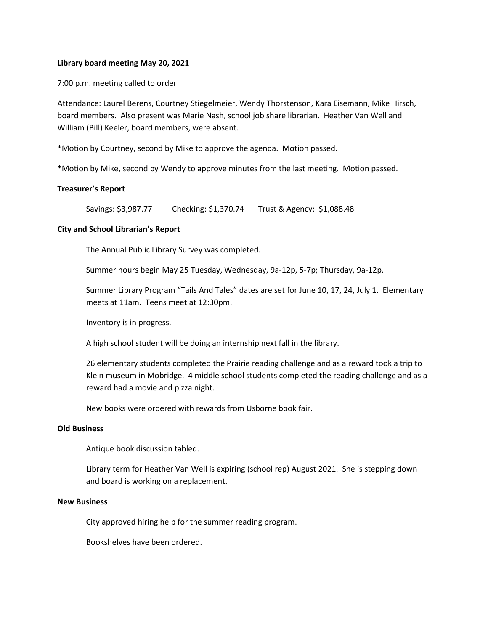### **Library board meeting May 20, 2021**

7:00 p.m. meeting called to order

Attendance: Laurel Berens, Courtney Stiegelmeier, Wendy Thorstenson, Kara Eisemann, Mike Hirsch, board members. Also present was Marie Nash, school job share librarian. Heather Van Well and William (Bill) Keeler, board members, were absent.

\*Motion by Courtney, second by Mike to approve the agenda. Motion passed.

\*Motion by Mike, second by Wendy to approve minutes from the last meeting. Motion passed.

# **Treasurer's Report**

Savings: \$3,987.77 Checking: \$1,370.74 Trust & Agency: \$1,088.48

# **City and School Librarian's Report**

The Annual Public Library Survey was completed.

Summer hours begin May 25 Tuesday, Wednesday, 9a-12p, 5-7p; Thursday, 9a-12p.

Summer Library Program "Tails And Tales" dates are set for June 10, 17, 24, July 1. Elementary meets at 11am. Teens meet at 12:30pm.

Inventory is in progress.

A high school student will be doing an internship next fall in the library.

26 elementary students completed the Prairie reading challenge and as a reward took a trip to Klein museum in Mobridge. 4 middle school students completed the reading challenge and as a reward had a movie and pizza night.

New books were ordered with rewards from Usborne book fair.

#### **Old Business**

Antique book discussion tabled.

Library term for Heather Van Well is expiring (school rep) August 2021. She is stepping down and board is working on a replacement.

#### **New Business**

City approved hiring help for the summer reading program.

Bookshelves have been ordered.